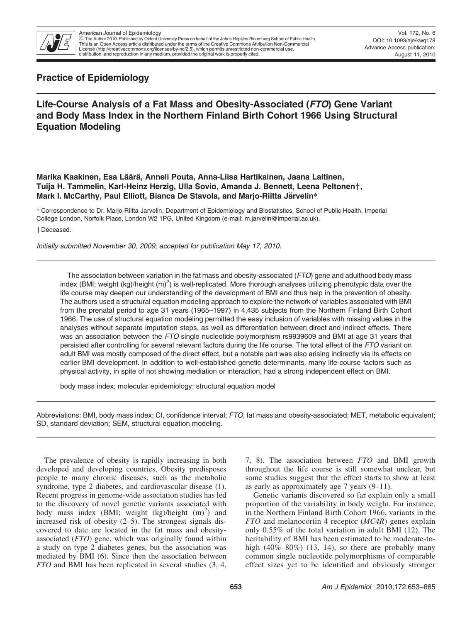

#### American Journal of Epidemiology

 $@$  The Author 2010. Published by Oxford University Press on behalf of the Johns Hopkins Bloomberg School of Public Health. This is an Open Access article distributed under the terms of the Creative Commons Attribution Non-Commercial License (http://creativecommons.org/licenses/by-nc/2.5), which permits unrestricted non-commercial use, distribution, and reproduction in any medium, provided the original work is properly cited.

Practice of Epidemiology

# Life-Course Analysis of a Fat Mass and Obesity-Associated (FTO) Gene Variant and Body Mass Index in the Northern Finland Birth Cohort 1966 Using Structural Equation Modeling

## Marika Kaakinen, Esa Läärä, Anneli Pouta, Anna-Liisa Hartikainen, Jaana Laitinen, Tuija H. Tammelin, Karl-Heinz Herzig, Ulla Sovio, Amanda J. Bennett, Leena Peltonen $\dag$ , Mark I. McCarthy, Paul Elliott, Bianca De Stavola, and Marjo-Riitta Järvelin<sup>\*</sup>

\* Correspondence to Dr. Marjo-Riitta Jarvelin, Department of Epidemiology and Biostatistics, School of Public Health, Imperial College London, Norfolk Place, London W2 1PG, United Kingdom (e-mail: m.jarvelin@imperial.ac.uk). t Deceased.

Initially submitted November 30, 2009; accepted for publication May 17, 2010.

The association between variation in the fat mass and obesity-associated (FTO) gene and adulthood body mass index (BMI; weight (kg)/height (m)<sup>2</sup>) is well-replicated. More thorough analyses utilizing phenotypic data over the life course may deepen our understanding of the development of BMI and thus help in the prevention of obesity. The authors used a structural equation modeling approach to explore the network of variables associated with BMI from the prenatal period to age 31 years (1965–1997) in 4,435 subjects from the Northern Finland Birth Cohort 1966. The use of structural equation modeling permitted the easy inclusion of variables with missing values in the analyses without separate imputation steps, as well as differentiation between direct and indirect effects. There was an association between the FTO single nucleotide polymorphism rs9939609 and BMI at age 31 years that persisted after controlling for several relevant factors during the life course. The total effect of the FTO variant on adult BMI was mostly composed of the direct effect, but a notable part was also arising indirectly via its effects on earlier BMI development. In addition to well-established genetic determinants, many life-course factors such as physical activity, in spite of not showing mediation or interaction, had a strong independent effect on BMI.

body mass index; molecular epidemiology; structural equation model

Abbreviations: BMI, body mass index; CI, confidence interval; FTO, fat mass and obesity-associated; MET, metabolic equivalent; SD, standard deviation; SEM, structural equation modeling.

The prevalence of obesity is rapidly increasing in both developed and developing countries. Obesity predisposes people to many chronic diseases, such as the metabolic syndrome, type 2 diabetes, and cardiovascular disease (1). Recent progress in genome-wide association studies has led to the discovery of novel genetic variants associated with body mass index (BMI; weight  $(kg)/height$  (m)<sup>2</sup>) and increased risk of obesity (2–5). The strongest signals discovered to date are located in the fat mass and obesityassociated (FTO) gene, which was originally found within a study on type 2 diabetes genes, but the association was mediated by BMI (6). Since then the association between FTO and BMI has been replicated in several studies (3, 4, 7, 8). The association between FTO and BMI growth throughout the life course is still somewhat unclear, but some studies suggest that the effect starts to show at least as early as approximately age 7 years (9–11).

Genetic variants discovered so far explain only a small proportion of the variability in body weight. For instance, in the Northern Finland Birth Cohort 1966, variants in the FTO and melanocortin 4 receptor (MC4R) genes explain only 0.55% of the total variation in adult BMI (12). The heritability of BMI has been estimated to be moderate-tohigh  $(40\% - 80\%)$   $(13, 14)$ , so there are probably many common single nucleotide polymorphisms of comparable effect sizes yet to be identified and obviously stronger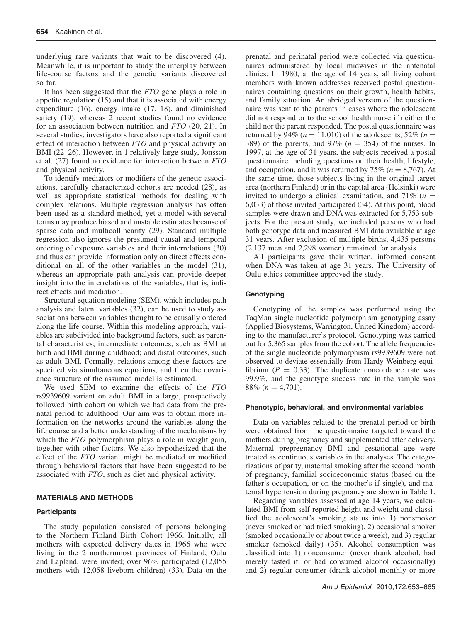underlying rare variants that wait to be discovered (4). Meanwhile, it is important to study the interplay between life-course factors and the genetic variants discovered so far.

It has been suggested that the FTO gene plays a role in appetite regulation (15) and that it is associated with energy expenditure (16), energy intake (17, 18), and diminished satiety (19), whereas 2 recent studies found no evidence for an association between nutrition and FTO (20, 21). In several studies, investigators have also reported a significant effect of interaction between FTO and physical activity on BMI (22–26). However, in 1 relatively large study, Jonsson et al. (27) found no evidence for interaction between FTO and physical activity.

To identify mediators or modifiers of the genetic associations, carefully characterized cohorts are needed (28), as well as appropriate statistical methods for dealing with complex relations. Multiple regression analysis has often been used as a standard method, yet a model with several terms may produce biased and unstable estimates because of sparse data and multicollinearity (29). Standard multiple regression also ignores the presumed causal and temporal ordering of exposure variables and their interrelations (30) and thus can provide information only on direct effects conditional on all of the other variables in the model (31), whereas an appropriate path analysis can provide deeper insight into the interrelations of the variables, that is, indirect effects and mediation.

Structural equation modeling (SEM), which includes path analysis and latent variables (32), can be used to study associations between variables thought to be causally ordered along the life course. Within this modeling approach, variables are subdivided into background factors, such as parental characteristics; intermediate outcomes, such as BMI at birth and BMI during childhood; and distal outcomes, such as adult BMI. Formally, relations among these factors are specified via simultaneous equations, and then the covariance structure of the assumed model is estimated.

We used SEM to examine the effects of the FTO rs9939609 variant on adult BMI in a large, prospectively followed birth cohort on which we had data from the prenatal period to adulthood. Our aim was to obtain more information on the networks around the variables along the life course and a better understanding of the mechanisms by which the FTO polymorphism plays a role in weight gain, together with other factors. We also hypothesized that the effect of the *FTO* variant might be mediated or modified through behavioral factors that have been suggested to be associated with FTO, such as diet and physical activity.

### MATERIALS AND METHODS

#### **Participants**

The study population consisted of persons belonging to the Northern Finland Birth Cohort 1966. Initially, all mothers with expected delivery dates in 1966 who were living in the 2 northernmost provinces of Finland, Oulu and Lapland, were invited; over 96% participated (12,055 mothers with 12,058 liveborn children) (33). Data on the

prenatal and perinatal period were collected via questionnaires administered by local midwives in the antenatal clinics. In 1980, at the age of 14 years, all living cohort members with known addresses received postal questionnaires containing questions on their growth, health habits, and family situation. An abridged version of the questionnaire was sent to the parents in cases where the adolescent did not respond or to the school health nurse if neither the child nor the parent responded. The postal questionnaire was returned by 94% ( $n = 11,010$ ) of the adolescents, 52% ( $n =$ 389) of the parents, and 97%  $(n = 354)$  of the nurses. In 1997, at the age of 31 years, the subjects received a postal questionnaire including questions on their health, lifestyle, and occupation, and it was returned by  $75\%$  ( $n = 8,767$ ). At the same time, those subjects living in the original target area (northern Finland) or in the capital area (Helsinki) were invited to undergo a clinical examination, and 71% ( $n =$ 6,033) of those invited participated (34). At this point, blood samples were drawn and DNA was extracted for 5,753 subjects. For the present study, we included persons who had both genotype data and measured BMI data available at age 31 years. After exclusion of multiple births, 4,435 persons (2,137 men and 2,298 women) remained for analysis.

All participants gave their written, informed consent when DNA was taken at age 31 years. The University of Oulu ethics committee approved the study.

#### **Genotyping**

Genotyping of the samples was performed using the TaqMan single nucleotide polymorphism genotyping assay (Applied Biosystems, Warrington, United Kingdom) according to the manufacturer's protocol. Genotyping was carried out for 5,365 samples from the cohort. The allele frequencies of the single nucleotide polymorphism rs9939609 were not observed to deviate essentially from Hardy-Weinberg equilibrium ( $P = 0.33$ ). The duplicate concordance rate was 99.9%, and the genotype success rate in the sample was 88%  $(n = 4,701)$ .

#### Phenotypic, behavioral, and environmental variables

Data on variables related to the prenatal period or birth were obtained from the questionnaire targeted toward the mothers during pregnancy and supplemented after delivery. Maternal prepregnancy BMI and gestational age were treated as continuous variables in the analyses. The categorizations of parity, maternal smoking after the second month of pregnancy, familial socioeconomic status (based on the father's occupation, or on the mother's if single), and maternal hypertension during pregnancy are shown in Table 1.

Regarding variables assessed at age 14 years, we calculated BMI from self-reported height and weight and classified the adolescent's smoking status into 1) nonsmoker (never smoked or had tried smoking), 2) occasional smoker (smoked occasionally or about twice a week), and 3) regular smoker (smoked daily) (35). Alcohol consumption was classified into 1) nonconsumer (never drank alcohol, had merely tasted it, or had consumed alcohol occasionally) and 2) regular consumer (drank alcohol monthly or more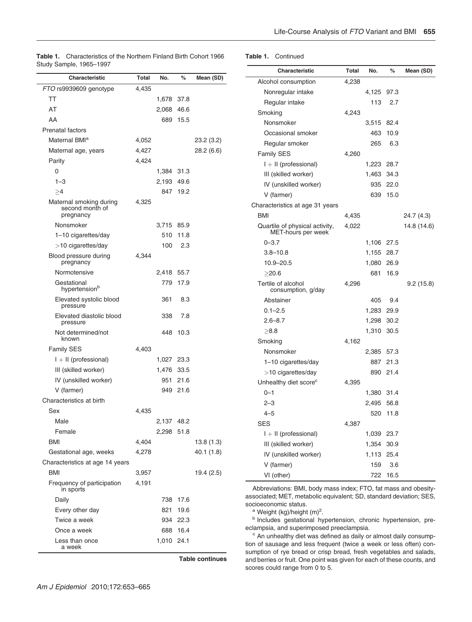| Characteristic                                          | <b>Total</b> | No.        | %        | Mean (SD)              |
|---------------------------------------------------------|--------------|------------|----------|------------------------|
| FTO rs9939609 genotype                                  | 4.435        |            |          |                        |
| TT                                                      |              | 1,678      | 37.8     |                        |
| AT                                                      |              | 2,068 46.6 |          |                        |
| AA                                                      |              | 689        | 15.5     |                        |
| <b>Prenatal factors</b>                                 |              |            |          |                        |
| Maternal BMI <sup>a</sup>                               | 4,052        |            |          | 23.2 (3.2)             |
| Maternal age, years                                     | 4,427        |            |          | 28.2 (6.6)             |
| Parity                                                  | 4,424        |            |          |                        |
| 0                                                       |              | 1,384 31.3 |          |                        |
| $1 - 3$                                                 |              | 2,193 49.6 |          |                        |
| >4                                                      |              |            | 847 19.2 |                        |
| Maternal smoking during<br>second month of<br>pregnancy | 4,325        |            |          |                        |
| Nonsmoker                                               |              | 3,715 85.9 |          |                        |
| $1-10$ cigarettes/day                                   |              | 510        | 11.8     |                        |
| $>$ 10 cigarettes/day                                   |              | 100        | 2.3      |                        |
| Blood pressure during<br>pregnancy                      | 4,344        |            |          |                        |
| Normotensive                                            |              | 2,418      | 55.7     |                        |
| Gestational<br>hypertension <sup>b</sup>                |              | 779        | 17.9     |                        |
| Elevated systolic blood<br>pressure                     |              | 361        | 8.3      |                        |
| Elevated diastolic blood<br>pressure                    |              | 338        | 7.8      |                        |
| Not determined/not<br>known                             |              | 448        | 10.3     |                        |
| <b>Family SES</b>                                       | 4,403        |            |          |                        |
| $I + II$ (professional)                                 |              | 1,027 23.3 |          |                        |
| III (skilled worker)                                    |              | 1,476      | 33.5     |                        |
| IV (unskilled worker)                                   |              | 951        | 21.6     |                        |
| V (farmer)                                              |              |            | 949 21.6 |                        |
| Characteristics at birth                                |              |            |          |                        |
| Sex                                                     | 4.435        |            |          |                        |
| Male                                                    |              | 2,137      | 48.2     |                        |
| Female                                                  |              | 2,298 51.8 |          |                        |
| <b>BMI</b>                                              | 4,404        |            |          | 13.8(1.3)              |
| Gestational age, weeks                                  | 4,278        |            |          | 40.1 (1.8)             |
| Characteristics at age 14 years                         |              |            |          |                        |
| BMI                                                     | 3,957        |            |          | 19.4 (2.5)             |
| Frequency of participation<br>in sports                 | 4,191        |            |          |                        |
| Daily                                                   |              | 738        | 17.6     |                        |
| Every other day                                         |              | 821        | 19.6     |                        |
| Twice a week                                            |              | 934        | 22.3     |                        |
| Once a week                                             |              | 688        | 16.4     |                        |
| Less than once<br>a week                                |              | 1,010      | 24.1     |                        |
|                                                         |              |            |          | <b>Table continues</b> |

| <b>Table 1.</b> Characteristics of the Northern Finland Birth Cohort 1966 |
|---------------------------------------------------------------------------|
| Study Sample, 1965-1997                                                   |

Table 1. Continued

| <b>Characteristic</b>                                | <b>Total</b> | No.   | %    | Mean (SD)   |
|------------------------------------------------------|--------------|-------|------|-------------|
| Alcohol consumption                                  | 4,238        |       |      |             |
| Nonregular intake                                    |              | 4,125 | 97.3 |             |
| Regular intake                                       |              | 113   | 2.7  |             |
| Smoking                                              | 4,243        |       |      |             |
| Nonsmoker                                            |              | 3,515 | 82.4 |             |
| Occasional smoker                                    |              | 463   | 10.9 |             |
| Regular smoker                                       |              | 265   | 6.3  |             |
| <b>Family SES</b>                                    | 4,260        |       |      |             |
| $I + II$ (professional)                              |              | 1,223 | 28.7 |             |
| III (skilled worker)                                 |              | 1,463 | 34.3 |             |
| IV (unskilled worker)                                |              | 935   | 22.0 |             |
| V (farmer)                                           |              | 639   | 15.0 |             |
| Characteristics at age 31 years                      |              |       |      |             |
| BMI                                                  | 4,435        |       |      | 24.7 (4.3)  |
| Quartile of physical activity,<br>MET-hours per week | 4,022        |       |      | 14.8 (14.6) |
| $0 - 3.7$                                            |              | 1,106 | 27.5 |             |
| $3.8 - 10.8$                                         |              | 1,155 | 28.7 |             |
| $10.9 - 20.5$                                        |              | 1,080 | 26.9 |             |
| >20.6                                                |              | 681   | 16.9 |             |
| Tertile of alcohol<br>consumption, g/day             | 4,296        |       |      | 9.2 (15.8)  |
| Abstainer                                            |              | 405   | 9.4  |             |
| $0.1 - 2.5$                                          |              | 1,283 | 29.9 |             |
| $2.6 - 8.7$                                          |              | 1,298 | 30.2 |             |
| >8.8                                                 |              | 1,310 | 30.5 |             |
| Smoking                                              | 4,162        |       |      |             |
| Nonsmoker                                            |              | 2,385 | 57.3 |             |
| 1-10 cigarettes/day                                  |              | 887   | 21.3 |             |
| >10 cigarettes/day                                   |              | 890   | 21.4 |             |
| Unhealthy diet score <sup>c</sup>                    | 4,395        |       |      |             |
| $0 - 1$                                              |              | 1,380 | 31.4 |             |
| $2 - 3$                                              |              | 2,495 | 56.8 |             |
| $4 - 5$                                              |              | 520   | 11.8 |             |
| <b>SES</b>                                           | 4,387        |       |      |             |
| $I + II$ (professional)                              |              | 1,039 | 23.7 |             |
| III (skilled worker)                                 |              | 1,354 | 30.9 |             |
| IV (unskilled worker)                                |              | 1,113 | 25.4 |             |
| V (farmer)                                           |              | 159   | 3.6  |             |
| VI (other)                                           |              | 722   | 16.5 |             |

Abbreviations: BMI, body mass index; FTO, fat mass and obesityassociated; MET, metabolic equivalent; SD, standard deviation; SES,

 $a$  Weight (kg)/height (m)<sup>2</sup>.

**b** Includes gestational hypertension, chronic hypertension, preeclampsia, and superimposed preeclampsia.

<sup>c</sup> An unhealthy diet was defined as daily or almost daily consumption of sausage and less frequent (twice a week or less often) consumption of rye bread or crisp bread, fresh vegetables and salads, and berries or fruit. One point was given for each of these counts, and scores could range from 0 to 5.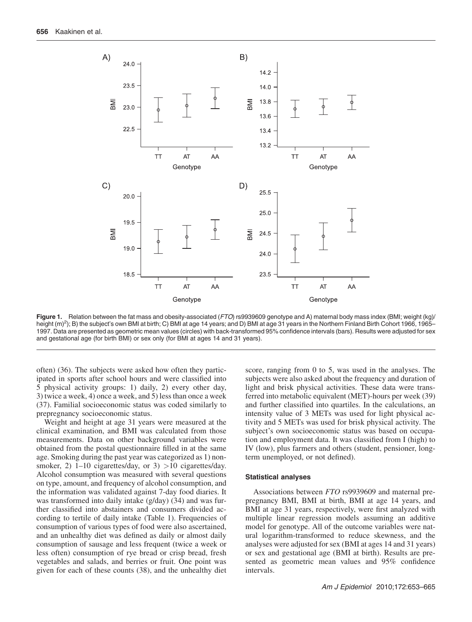

Figure 1. Relation between the fat mass and obesity-associated (FTO) rs9939609 genotype and A) maternal body mass index (BMI; weight (kg)/ height (m)2 ); B) the subject's own BMI at birth; C) BMI at age 14 years; and D) BMI at age 31 years in the Northern Finland Birth Cohort 1966, 1965– 1997. Data are presented as geometric mean values (circles) with back-transformed 95% confidence intervals (bars). Results were adjusted for sex and gestational age (for birth BMI) or sex only (for BMI at ages 14 and 31 years).

often) (36). The subjects were asked how often they participated in sports after school hours and were classified into 5 physical activity groups: 1) daily, 2) every other day, 3) twice a week, 4) once a week, and 5) less than once a week (37). Familial socioeconomic status was coded similarly to prepregnancy socioeconomic status.

Weight and height at age 31 years were measured at the clinical examination, and BMI was calculated from those measurements. Data on other background variables were obtained from the postal questionnaire filled in at the same age. Smoking during the past year was categorized as 1) nonsmoker, 2)  $1-10$  cigarettes/day, or 3)  $>10$  cigarettes/day. Alcohol consumption was measured with several questions on type, amount, and frequency of alcohol consumption, and the information was validated against 7-day food diaries. It was transformed into daily intake (g/day) (34) and was further classified into abstainers and consumers divided according to tertile of daily intake (Table 1). Frequencies of consumption of various types of food were also ascertained, and an unhealthy diet was defined as daily or almost daily consumption of sausage and less frequent (twice a week or less often) consumption of rye bread or crisp bread, fresh vegetables and salads, and berries or fruit. One point was given for each of these counts (38), and the unhealthy diet

score, ranging from 0 to 5, was used in the analyses. The subjects were also asked about the frequency and duration of light and brisk physical activities. These data were transferred into metabolic equivalent (MET)-hours per week (39) and further classified into quartiles. In the calculations, an intensity value of 3 METs was used for light physical activity and 5 METs was used for brisk physical activity. The subject's own socioeconomic status was based on occupation and employment data. It was classified from I (high) to IV (low), plus farmers and others (student, pensioner, longterm unemployed, or not defined).

#### Statistical analyses

Associations between FTO rs9939609 and maternal prepregnancy BMI, BMI at birth, BMI at age 14 years, and BMI at age 31 years, respectively, were first analyzed with multiple linear regression models assuming an additive model for genotype. All of the outcome variables were natural logarithm-transformed to reduce skewness, and the analyses were adjusted for sex (BMI at ages 14 and 31 years) or sex and gestational age (BMI at birth). Results are presented as geometric mean values and 95% confidence intervals.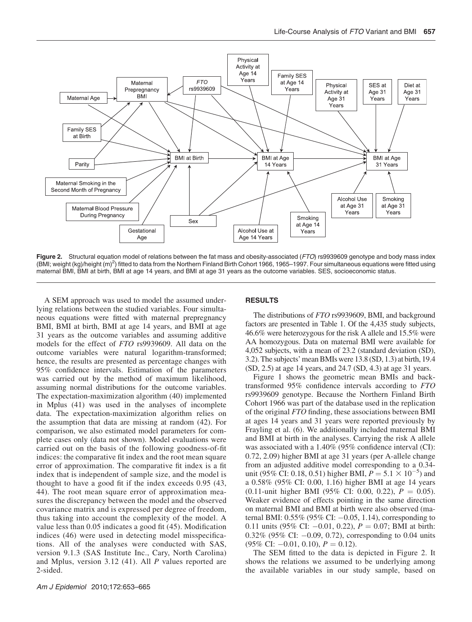

Figure 2. Structural equation model of relations between the fat mass and obesity-associated (FTO) rs9939609 genotype and body mass index (BMI; weight (kg)/height (m)<sup>2</sup>) fitted to data from the Northern Finland Birth Cohort 1966, 1965–1997. Four simultaneous equations were fitted using maternal BMI, BMI at birth, BMI at age 14 years, and BMI at age 31 years as the outcome variables. SES, socioeconomic status.

A SEM approach was used to model the assumed underlying relations between the studied variables. Four simultaneous equations were fitted with maternal prepregnancy BMI, BMI at birth, BMI at age 14 years, and BMI at age 31 years as the outcome variables and assuming additive models for the effect of FTO rs9939609. All data on the outcome variables were natural logarithm-transformed; hence, the results are presented as percentage changes with 95% confidence intervals. Estimation of the parameters was carried out by the method of maximum likelihood, assuming normal distributions for the outcome variables. The expectation-maximization algorithm (40) implemented in Mplus (41) was used in the analyses of incomplete data. The expectation-maximization algorithm relies on the assumption that data are missing at random (42). For comparison, we also estimated model parameters for complete cases only (data not shown). Model evaluations were carried out on the basis of the following goodness-of-fit indices: the comparative fit index and the root mean square error of approximation. The comparative fit index is a fit index that is independent of sample size, and the model is thought to have a good fit if the index exceeds 0.95 (43, 44). The root mean square error of approximation measures the discrepancy between the model and the observed covariance matrix and is expressed per degree of freedom, thus taking into account the complexity of the model. A value less than 0.05 indicates a good fit (45). Modification indices (46) were used in detecting model misspecifications. All of the analyses were conducted with SAS, version 9.1.3 (SAS Institute Inc., Cary, North Carolina) and Mplus, version 3.12 (41). All P values reported are 2-sided.

## RESULTS

The distributions of FTO rs9939609, BMI, and background factors are presented in Table 1. Of the 4,435 study subjects, 46.6% were heterozygous for the risk A allele and 15.5% were AA homozygous. Data on maternal BMI were available for 4,052 subjects, with a mean of 23.2 (standard deviation (SD), 3.2). The subjects' mean BMIs were 13.8 (SD, 1.3) at birth, 19.4 (SD, 2.5) at age 14 years, and 24.7 (SD, 4.3) at age 31 years.

Figure 1 shows the geometric mean BMIs and backtransformed 95% confidence intervals according to FTO rs9939609 genotype. Because the Northern Finland Birth Cohort 1966 was part of the database used in the replication of the original FTO finding, these associations between BMI at ages 14 years and 31 years were reported previously by Frayling et al. (6). We additionally included maternal BMI and BMI at birth in the analyses. Carrying the risk A allele was associated with a 1.40% (95% confidence interval (CI): 0.72, 2.09) higher BMI at age 31 years (per A-allele change from an adjusted additive model corresponding to a 0.34 unit (95% CI: 0.18, 0.51) higher BMI,  $P = 5.1 \times 10^{-5}$ ) and a 0.58% (95% CI: 0.00, 1.16) higher BMI at age 14 years (0.11-unit higher BMI (95% CI: 0.00, 0.22),  $P = 0.05$ ). Weaker evidence of effects pointing in the same direction on maternal BMI and BMI at birth were also observed (maternal BMI: 0.55% (95% CI: -0.05, 1.14), corresponding to 0.11 units (95% CI:  $-0.01$ , 0.22),  $P = 0.07$ ; BMI at birth: 0.32% (95% CI: -0.09, 0.72), corresponding to 0.04 units  $(95\% \text{ CI: } -0.01, 0.10), P = 0.12).$ 

The SEM fitted to the data is depicted in Figure 2. It shows the relations we assumed to be underlying among the available variables in our study sample, based on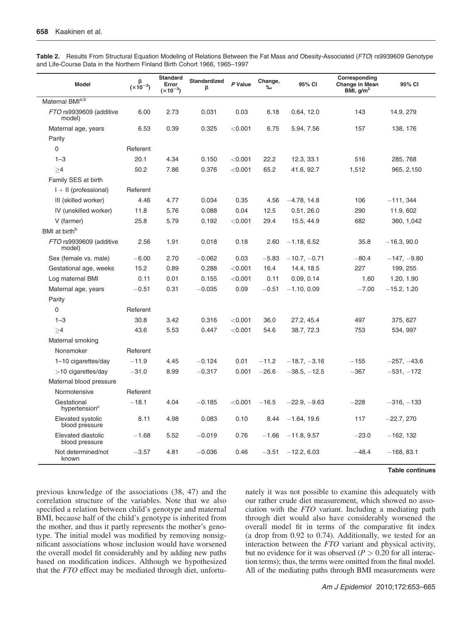| <b>Model</b>                             | ß<br>$(x10^{-3})$ | <b>Standard</b><br>Error<br>$(x10^{-3})$ | <b>Standardized</b><br>β | P Value | Change,<br>‰ | 95% CI         | Corresponding<br><b>Change in Mean</b><br>BMI, $g/m2$ | 95% CI        |
|------------------------------------------|-------------------|------------------------------------------|--------------------------|---------|--------------|----------------|-------------------------------------------------------|---------------|
| Maternal BMIa,b                          |                   |                                          |                          |         |              |                |                                                       |               |
| FTO rs9939609 (additive<br>model)        | 6.00              | 2.73                                     | 0.031                    | 0.03    | 6.18         | 0.64, 12.0     | 143                                                   | 14.9, 279     |
| Maternal age, years                      | 6.53              | 0.39                                     | 0.325                    | < 0.001 | 6.75         | 5.94, 7.56     | 157                                                   | 138, 176      |
| Parity                                   |                   |                                          |                          |         |              |                |                                                       |               |
| 0                                        | Referent          |                                          |                          |         |              |                |                                                       |               |
| $1 - 3$                                  | 20.1              | 4.34                                     | 0.150                    | < 0.001 | 22.2         | 12.3, 33.1     | 516                                                   | 285, 768      |
| >4                                       | 50.2              | 7.86                                     | 0.376                    | < 0.001 | 65.2         | 41.6, 92.7     | 1,512                                                 | 965, 2,150    |
| Family SES at birth                      |                   |                                          |                          |         |              |                |                                                       |               |
| $I + II$ (professional)                  | Referent          |                                          |                          |         |              |                |                                                       |               |
| III (skilled worker)                     | 4.46              | 4.77                                     | 0.034                    | 0.35    | 4.56         | $-4.78, 14.8$  | 106                                                   | $-111, 344$   |
| IV (unskilled worker)                    | 11.8              | 5.76                                     | 0.088                    | 0.04    | 12.5         | 0.51, 26.0     | 290                                                   | 11.9, 602     |
| V (farmer)                               | 25.8              | 5.79                                     | 0.192                    | < 0.001 | 29.4         | 15.5, 44.9     | 682                                                   | 360, 1,042    |
| BMI at birth <sup>b</sup>                |                   |                                          |                          |         |              |                |                                                       |               |
| FTO rs9939609 (additive<br>model)        | 2.56              | 1.91                                     | 0.018                    | 0.18    | 2.60         | $-1.18, 6.52$  | 35.8                                                  | $-16.3, 90.0$ |
| Sex (female vs. male)                    | $-6.00$           | 2.70                                     | $-0.062$                 | 0.03    | $-5.83$      | $-10.7, -0.71$ | $-80.4$                                               | $-147, -9.80$ |
| Gestational age, weeks                   | 15.2              | 0.89                                     | 0.288                    | < 0.001 | 16.4         | 14.4, 18.5     | 227                                                   | 199, 255      |
| Log maternal BMI                         | 0.11              | 0.01                                     | 0.155                    | < 0.001 | 0.11         | 0.09, 0.14     | 1.60                                                  | 1.20, 1.90    |
| Maternal age, years                      | $-0.51$           | 0.31                                     | $-0.035$                 | 0.09    | $-0.51$      | $-1.10, 0.09$  | $-7.00$                                               | $-15.2, 1.20$ |
| Parity                                   |                   |                                          |                          |         |              |                |                                                       |               |
| 0                                        | Referent          |                                          |                          |         |              |                |                                                       |               |
| $1 - 3$                                  | 30.8              | 3.42                                     | 0.316                    | < 0.001 | 36.0         | 27.2, 45.4     | 497                                                   | 375, 627      |
| >4                                       | 43.6              | 5.53                                     | 0.447                    | < 0.001 | 54.6         | 38.7, 72.3     | 753                                                   | 534, 997      |
| Maternal smoking                         |                   |                                          |                          |         |              |                |                                                       |               |
| Nonsmoker                                | Referent          |                                          |                          |         |              |                |                                                       |               |
| 1-10 cigarettes/day                      | $-11.9$           | 4.45                                     | $-0.124$                 | 0.01    | $-11.2$      | $-18.7, -3.16$ | $-155$                                                | $-257, -43.6$ |
| $>10$ cigarettes/day                     | $-31.0$           | 8.99                                     | $-0.317$                 | 0.001   | $-26.6$      | $-38.5, -12.5$ | $-367$                                                | $-531, -172$  |
| Maternal blood pressure                  |                   |                                          |                          |         |              |                |                                                       |               |
| Normotensive                             | Referent          |                                          |                          |         |              |                |                                                       |               |
| Gestational<br>hypertension <sup>c</sup> | $-18.1$           | 4.04                                     | $-0.185$                 | < 0.001 | $-16.5$      | $-22.9, -9.63$ | $-228$                                                | $-316, -133$  |
| Elevated systolic<br>blood pressure      | 8.11              | 4.98                                     | 0.083                    | 0.10    | 8.44         | $-1.64, 19.6$  | 117                                                   | $-22.7, 270$  |
| Elevated diastolic<br>blood pressure     | $-1.68$           | 5.52                                     | $-0.019$                 | 0.76    | $-1.66$      | $-11.8, 9.57$  | $-23.0$                                               | $-162, 132$   |
| Not determined/not<br>known              | $-3.57$           | 4.81                                     | $-0.036$                 | 0.46    | $-3.51$      | $-12.2, 6.03$  | $-48.4$                                               | $-168, 83.1$  |

Table 2. Results From Structural Equation Modeling of Relations Between the Fat Mass and Obesity-Associated (FTO) rs9939609 Genotype and Life-Course Data in the Northern Finland Birth Cohort 1966, 1965–1997

Table continues

previous knowledge of the associations (38, 47) and the correlation structure of the variables. Note that we also specified a relation between child's genotype and maternal BMI, because half of the child's genotype is inherited from the mother, and thus it partly represents the mother's genotype. The initial model was modified by removing nonsignificant associations whose inclusion would have worsened the overall model fit considerably and by adding new paths based on modification indices. Although we hypothesized that the FTO effect may be mediated through diet, unfortunately it was not possible to examine this adequately with our rather crude diet measurement, which showed no association with the FTO variant. Including a mediating path through diet would also have considerably worsened the overall model fit in terms of the comparative fit index (a drop from 0.92 to 0.74). Additionally, we tested for an interaction between the FTO variant and physical activity, but no evidence for it was observed  $(P > 0.20$  for all interaction terms); thus, the terms were omitted from the final model. All of the mediating paths through BMI measurements were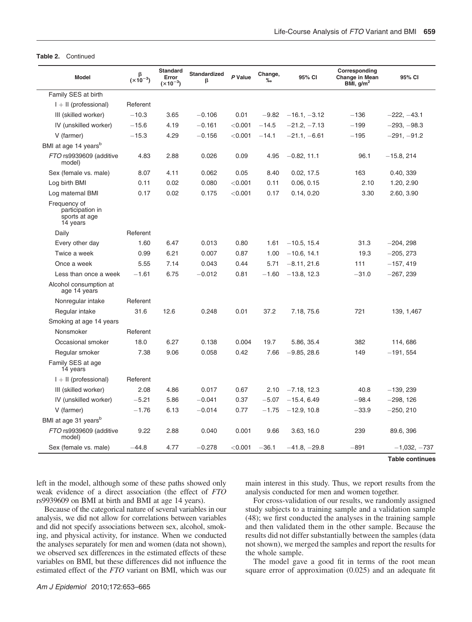#### Table 2. Continued

| <b>Model</b>                                                  | β<br>$(x10^{-3})$ | <b>Standard</b><br>Error<br>$(x10^{-3})$ | <b>Standardized</b><br>β | $P$ Value | Change,<br>‰ | 95% CI         | Corresponding<br>Change in Mean<br>BMI, $g/m2$ | 95% CI         |  |
|---------------------------------------------------------------|-------------------|------------------------------------------|--------------------------|-----------|--------------|----------------|------------------------------------------------|----------------|--|
| Family SES at birth                                           |                   |                                          |                          |           |              |                |                                                |                |  |
| $I + II$ (professional)                                       | Referent          |                                          |                          |           |              |                |                                                |                |  |
| III (skilled worker)                                          | $-10.3$           | 3.65                                     | $-0.106$                 | 0.01      | $-9.82$      | $-16.1, -3.12$ | $-136$                                         | $-222, -43.1$  |  |
| IV (unskilled worker)                                         | $-15.6$           | 4.19                                     | $-0.161$                 | < 0.001   | $-14.5$      | $-21.2, -7.13$ | $-199$                                         | $-293, -98.3$  |  |
| V (farmer)                                                    | $-15.3$           | 4.29                                     | $-0.156$                 | < 0.001   | $-14.1$      | $-21.1, -6.61$ | $-195$                                         | $-291, -91.2$  |  |
| BMI at age 14 years <sup>b</sup>                              |                   |                                          |                          |           |              |                |                                                |                |  |
| FTO rs9939609 (additive<br>model)                             | 4.83              | 2.88                                     | 0.026                    | 0.09      | 4.95         | $-0.82, 11.1$  | 96.1                                           | $-15.8, 214$   |  |
| Sex (female vs. male)                                         | 8.07              | 4.11                                     | 0.062                    | 0.05      | 8.40         | 0.02, 17.5     | 163                                            | 0.40, 339      |  |
| Log birth BMI                                                 | 0.11              | 0.02                                     | 0.080                    | < 0.001   | 0.11         | 0.06, 0.15     | 2.10                                           | 1.20, 2.90     |  |
| Log maternal BMI                                              | 0.17              | 0.02                                     | 0.175                    | < 0.001   | 0.17         | 0.14, 0.20     | 3.30                                           | 2.60, 3.90     |  |
| Frequency of<br>participation in<br>sports at age<br>14 years |                   |                                          |                          |           |              |                |                                                |                |  |
| Daily                                                         | Referent          |                                          |                          |           |              |                |                                                |                |  |
| Every other day                                               | 1.60              | 6.47                                     | 0.013                    | 0.80      | 1.61         | $-10.5, 15.4$  | 31.3                                           | –204, 298      |  |
| Twice a week                                                  | 0.99              | 6.21                                     | 0.007                    | 0.87      | 1.00         | $-10.6, 14.1$  | 19.3                                           | $-205, 273$    |  |
| Once a week                                                   | 5.55              | 7.14                                     | 0.043                    | 0.44      | 5.71         | $-8.11, 21.6$  | 111                                            | $-157, 419$    |  |
| Less than once a week                                         | $-1.61$           | 6.75                                     | $-0.012$                 | 0.81      | $-1.60$      | $-13.8, 12.3$  | $-31.0$                                        | $-267, 239$    |  |
| Alcohol consumption at<br>age 14 years                        |                   |                                          |                          |           |              |                |                                                |                |  |
| Nonregular intake                                             | Referent          |                                          |                          |           |              |                |                                                |                |  |
| Regular intake                                                | 31.6              | 12.6                                     | 0.248                    | 0.01      | 37.2         | 7.18, 75.6     | 721                                            | 139, 1,467     |  |
| Smoking at age 14 years                                       |                   |                                          |                          |           |              |                |                                                |                |  |
| Nonsmoker                                                     | Referent          |                                          |                          |           |              |                |                                                |                |  |
| Occasional smoker                                             | 18.0              | 6.27                                     | 0.138                    | 0.004     | 19.7         | 5.86, 35.4     | 382                                            | 114, 686       |  |
| Regular smoker                                                | 7.38              | 9.06                                     | 0.058                    | 0.42      | 7.66         | $-9.85, 28.6$  | 149                                            | $-191, 554$    |  |
| Family SES at age<br>14 years                                 |                   |                                          |                          |           |              |                |                                                |                |  |
| $I + II$ (professional)                                       | Referent          |                                          |                          |           |              |                |                                                |                |  |
| III (skilled worker)                                          | 2.08              | 4.86                                     | 0.017                    | 0.67      | 2.10         | $-7.18, 12.3$  | 40.8                                           | $-139, 239$    |  |
| IV (unskilled worker)                                         | $-5.21$           | 5.86                                     | $-0.041$                 | 0.37      | $-5.07$      | $-15.4, 6.49$  | $-98.4$                                        | $-298, 126$    |  |
| V (farmer)                                                    | $-1.76$           | 6.13                                     | $-0.014$                 | 0.77      | $-1.75$      | $-12.9, 10.8$  | $-33.9$                                        | $-250, 210$    |  |
| BMI at age 31 years <sup>b</sup>                              |                   |                                          |                          |           |              |                |                                                |                |  |
| FTO rs9939609 (additive<br>model)                             | 9.22              | 2.88                                     | 0.040                    | 0.001     | 9.66         | 3.63, 16.0     | 239                                            | 89.6, 396      |  |
| Sex (female vs. male)                                         | $-44.8$           | 4.77                                     | $-0.278$                 | $<$ 0.001 | $-36.1$      | $-41.8, -29.8$ | $-891$                                         | $-1,032, -737$ |  |

Table continues

left in the model, although some of these paths showed only weak evidence of a direct association (the effect of FTO rs9939609 on BMI at birth and BMI at age 14 years).

Because of the categorical nature of several variables in our analysis, we did not allow for correlations between variables and did not specify associations between sex, alcohol, smoking, and physical activity, for instance. When we conducted the analyses separately for men and women (data not shown), we observed sex differences in the estimated effects of these variables on BMI, but these differences did not influence the estimated effect of the FTO variant on BMI, which was our

main interest in this study. Thus, we report results from the analysis conducted for men and women together.

For cross-validation of our results, we randomly assigned study subjects to a training sample and a validation sample (48); we first conducted the analyses in the training sample and then validated them in the other sample. Because the results did not differ substantially between the samples (data not shown), we merged the samples and report the results for the whole sample.

The model gave a good fit in terms of the root mean square error of approximation (0.025) and an adequate fit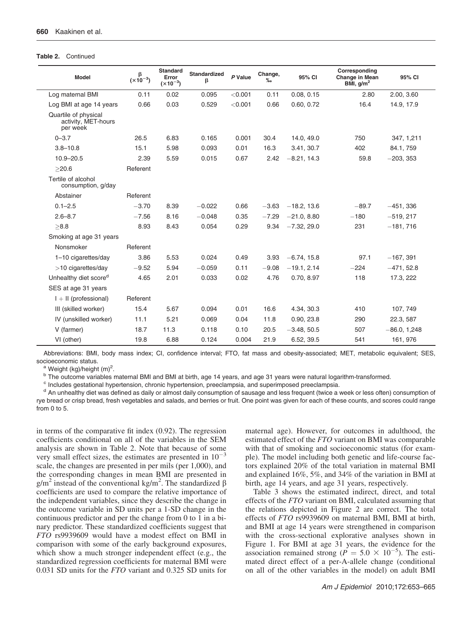### Table 2. Continued

| <b>Model</b>                                            | β<br>$(x10^{-3})$ | <b>Standard</b><br>Error<br>$(x10^{-3})$ | <b>Standardized</b><br>β | P Value | Change,<br>% | 95% CI        | Corresponding<br><b>Change in Mean</b><br>BMI, $g/m2$ | 95% CI         |
|---------------------------------------------------------|-------------------|------------------------------------------|--------------------------|---------|--------------|---------------|-------------------------------------------------------|----------------|
| Log maternal BMI                                        | 0.11              | 0.02                                     | 0.095                    | < 0.001 | 0.11         | 0.08, 0.15    | 2.80                                                  | 2.00, 3.60     |
| Log BMI at age 14 years                                 | 0.66              | 0.03                                     | 0.529                    | < 0.001 | 0.66         | 0.60, 0.72    | 16.4                                                  | 14.9, 17.9     |
| Quartile of physical<br>activity, MET-hours<br>per week |                   |                                          |                          |         |              |               |                                                       |                |
| $0 - 3.7$                                               | 26.5              | 6.83                                     | 0.165                    | 0.001   | 30.4         | 14.0, 49.0    | 750                                                   | 347, 1, 211    |
| $3.8 - 10.8$                                            | 15.1              | 5.98                                     | 0.093                    | 0.01    | 16.3         | 3.41, 30.7    | 402                                                   | 84.1, 759      |
| $10.9 - 20.5$                                           | 2.39              | 5.59                                     | 0.015                    | 0.67    | 2.42         | $-8.21, 14.3$ | 59.8                                                  | $-203, 353$    |
| >20.6                                                   | Referent          |                                          |                          |         |              |               |                                                       |                |
| Tertile of alcohol<br>consumption, g/day                |                   |                                          |                          |         |              |               |                                                       |                |
| Abstainer                                               | Referent          |                                          |                          |         |              |               |                                                       |                |
| $0.1 - 2.5$                                             | $-3.70$           | 8.39                                     | $-0.022$                 | 0.66    | $-3.63$      | $-18.2, 13.6$ | $-89.7$                                               | $-451, 336$    |
| $2.6 - 8.7$                                             | $-7.56$           | 8.16                                     | $-0.048$                 | 0.35    | $-7.29$      | $-21.0.8.80$  | $-180$                                                | $-519, 217$    |
| >8.8                                                    | 8.93              | 8.43                                     | 0.054                    | 0.29    | 9.34         | $-7.32, 29.0$ | 231                                                   | $-181, 716$    |
| Smoking at age 31 years                                 |                   |                                          |                          |         |              |               |                                                       |                |
| Nonsmoker                                               | Referent          |                                          |                          |         |              |               |                                                       |                |
| 1-10 cigarettes/day                                     | 3.86              | 5.53                                     | 0.024                    | 0.49    | 3.93         | $-6.74, 15.8$ | 97.1                                                  | $-167, 391$    |
| $>10$ cigarettes/day                                    | $-9.52$           | 5.94                                     | $-0.059$                 | 0.11    | $-9.08$      | $-19.1, 2.14$ | $-224$                                                | $-471, 52.8$   |
| Unhealthy diet score <sup>d</sup>                       | 4.65              | 2.01                                     | 0.033                    | 0.02    | 4.76         | 0.70, 8.97    | 118                                                   | 17.3, 222      |
| SES at age 31 years                                     |                   |                                          |                          |         |              |               |                                                       |                |
| $I + II$ (professional)                                 | Referent          |                                          |                          |         |              |               |                                                       |                |
| III (skilled worker)                                    | 15.4              | 5.67                                     | 0.094                    | 0.01    | 16.6         | 4.34, 30.3    | 410                                                   | 107, 749       |
| IV (unskilled worker)                                   | 11.1              | 5.21                                     | 0.069                    | 0.04    | 11.8         | 0.90, 23.8    | 290                                                   | 22.3, 587      |
| V (farmer)                                              | 18.7              | 11.3                                     | 0.118                    | 0.10    | 20.5         | $-3.48, 50.5$ | 507                                                   | $-86.0, 1,248$ |
| VI (other)                                              | 19.8              | 6.88                                     | 0.124                    | 0.004   | 21.9         | 6.52, 39.5    | 541                                                   | 161, 976       |

Abbreviations: BMI, body mass index; CI, confidence interval; FTO, fat mass and obesity-associated; MET, metabolic equivalent; SES, socioeconomic status.<br><sup>a</sup> Weight (kg)/height (m)<sup>2</sup>.

<sup>b</sup> The outcome variables maternal BMI and BMI at birth, age 14 years, and age 31 years were natural logarithm-transformed.

<sup>c</sup> Includes gestational hypertension, chronic hypertension, preeclampsia, and superimposed preeclampsia.

<sup>d</sup> An unhealthy diet was defined as daily or almost daily consumption of sausage and less frequent (twice a week or less often) consumption of rye bread or crisp bread, fresh vegetables and salads, and berries or fruit. One point was given for each of these counts, and scores could range from 0 to 5.

in terms of the comparative fit index (0.92). The regression coefficients conditional on all of the variables in the SEM analysis are shown in Table 2. Note that because of some very small effect sizes, the estimates are presented in  $10^{-3}$ scale, the changes are presented in per mils (per 1,000), and the corresponding changes in mean BMI are presented in  $g/m^2$  instead of the conventional kg/m<sup>2</sup>. The standardized  $\beta$ coefficients are used to compare the relative importance of the independent variables, since they describe the change in the outcome variable in SD units per a 1-SD change in the continuous predictor and per the change from 0 to 1 in a binary predictor. These standardized coefficients suggest that FTO rs9939609 would have a modest effect on BMI in comparison with some of the early background exposures, which show a much stronger independent effect (e.g., the standardized regression coefficients for maternal BMI were 0.031 SD units for the FTO variant and 0.325 SD units for

maternal age). However, for outcomes in adulthood, the estimated effect of the FTO variant on BMI was comparable with that of smoking and socioeconomic status (for example). The model including both genetic and life-course factors explained 20% of the total variation in maternal BMI and explained 16%, 5%, and 34% of the variation in BMI at birth, age 14 years, and age 31 years, respectively.

Table 3 shows the estimated indirect, direct, and total effects of the FTO variant on BMI, calculated assuming that the relations depicted in Figure 2 are correct. The total effects of FTO rs9939609 on maternal BMI, BMI at birth, and BMI at age 14 years were strengthened in comparison with the cross-sectional explorative analyses shown in Figure 1. For BMI at age 31 years, the evidence for the association remained strong ( $\vec{P} = 5.0 \times 10^{-5}$ ). The estimated direct effect of a per-A-allele change (conditional on all of the other variables in the model) on adult BMI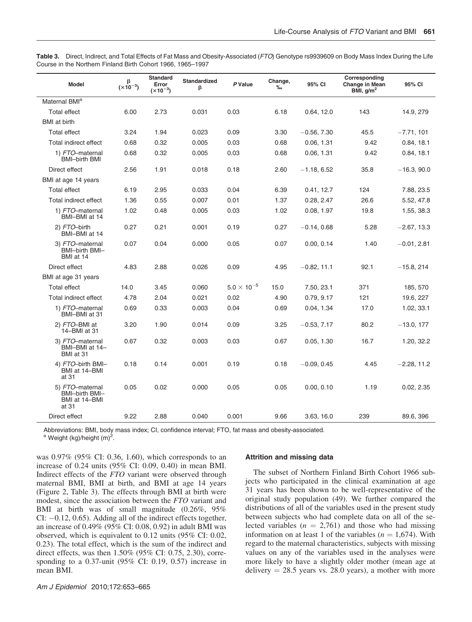| <b>Model</b>                                                | ß<br>$(x10^{-3})$ | <b>Standard</b><br>Error<br>$(x10^{-3})$ | <b>Standardized</b><br>β | P Value              | Change,<br>% | 95% CI        | Corresponding<br>Change in Mean<br>BMI, $g/m2$ | 95% CI        |
|-------------------------------------------------------------|-------------------|------------------------------------------|--------------------------|----------------------|--------------|---------------|------------------------------------------------|---------------|
| Maternal BMI <sup>a</sup>                                   |                   |                                          |                          |                      |              |               |                                                |               |
| <b>Total effect</b>                                         | 6.00              | 2.73                                     | 0.031                    | 0.03                 | 6.18         | 0.64, 12.0    | 143                                            | 14.9, 279     |
| <b>BMI</b> at birth                                         |                   |                                          |                          |                      |              |               |                                                |               |
| <b>Total effect</b>                                         | 3.24              | 1.94                                     | 0.023                    | 0.09                 | 3.30         | $-0.56, 7.30$ | 45.5                                           | $-7.71, 101$  |
| Total indirect effect                                       | 0.68              | 0.32                                     | 0.005                    | 0.03                 | 0.68         | 0.06, 1.31    | 9.42                                           | 0.84, 18.1    |
| 1) FTO-maternal<br><b>BMI-birth BMI</b>                     | 0.68              | 0.32                                     | 0.005                    | 0.03                 | 0.68         | 0.06, 1.31    | 9.42                                           | 0.84, 18.1    |
| Direct effect                                               | 2.56              | 1.91                                     | 0.018                    | 0.18                 | 2.60         | $-1.18, 6.52$ | 35.8                                           | –16.3, 90.0   |
| BMI at age 14 years                                         |                   |                                          |                          |                      |              |               |                                                |               |
| <b>Total effect</b>                                         | 6.19              | 2.95                                     | 0.033                    | 0.04                 | 6.39         | 0.41, 12.7    | 124                                            | 7.88, 23.5    |
| Total indirect effect                                       | 1.36              | 0.55                                     | 0.007                    | 0.01                 | 1.37         | 0.28, 2.47    | 26.6                                           | 5.52, 47.8    |
| 1) FTO-maternal<br>BMI-BMI at 14                            | 1.02              | 0.48                                     | 0.005                    | 0.03                 | 1.02         | 0.08, 1.97    | 19.8                                           | 1.55, 38.3    |
| 2) FTO-birth<br>BMI-BMI at 14                               | 0.27              | 0.21                                     | 0.001                    | 0.19                 | 0.27         | $-0.14, 0.68$ | 5.28                                           | $-2.67, 13.3$ |
| 3) FTO-maternal<br>BMI-birth BMI-<br>BMI at 14              | 0.07              | 0.04                                     | 0.000                    | 0.05                 | 0.07         | 0.00, 0.14    | 1.40                                           | $-0.01, 2.81$ |
| Direct effect                                               | 4.83              | 2.88                                     | 0.026                    | 0.09                 | 4.95         | $-0.82, 11.1$ | 92.1                                           | $-15.8, 214$  |
| BMI at age 31 years                                         |                   |                                          |                          |                      |              |               |                                                |               |
| <b>Total effect</b>                                         | 14.0              | 3.45                                     | 0.060                    | $5.0 \times 10^{-5}$ | 15.0         | 7.50, 23.1    | 371                                            | 185, 570      |
| Total indirect effect                                       | 4.78              | 2.04                                     | 0.021                    | 0.02                 | 4.90         | 0.79, 9.17    | 121                                            | 19.6, 227     |
| 1) FTO-maternal<br>BMI-BMI at 31                            | 0.69              | 0.33                                     | 0.003                    | 0.04                 | 0.69         | 0.04, 1.34    | 17.0                                           | 1.02, 33.1    |
| 2) FTO-BMI at<br>14-BMI at 31                               | 3.20              | 1.90                                     | 0.014                    | 0.09                 | 3.25         | $-0.53, 7.17$ | 80.2                                           | –13.0, 177    |
| 3) FTO-maternal<br>BMI-BMI at 14-<br>BMI at 31              | 0.67              | 0.32                                     | 0.003                    | 0.03                 | 0.67         | 0.05, 1.30    | 16.7                                           | 1.20, 32.2    |
| 4) FTO-birth BMI-<br>BMI at 14-BMI<br>at 31                 | 0.18              | 0.14                                     | 0.001                    | 0.19                 | 0.18         | $-0.09, 0.45$ | 4.45                                           | $-2.28, 11.2$ |
| 5) FTO-maternal<br>BMI-birth BMI-<br>BMI at 14-BMI<br>at 31 | 0.05              | 0.02                                     | 0.000                    | 0.05                 | 0.05         | 0.00, 0.10    | 1.19                                           | 0.02, 2.35    |
| Direct effect                                               | 9.22              | 2.88                                     | 0.040                    | 0.001                | 9.66         | 3.63, 16.0    | 239                                            | 89.6, 396     |

Table 3. Direct, Indirect, and Total Effects of Fat Mass and Obesity-Associated (FTO) Genotype rs9939609 on Body Mass Index During the Life Course in the Northern Finland Birth Cohort 1966, 1965–1997

Abbreviations: BMI, body mass index; CI, confidence interval; FTO, fat mass and obesity-associated.  $^{\text{a}}$  Weight (kg)/height (m)<sup>2</sup>.

was 0.97% (95% CI: 0.36, 1.60), which corresponds to an increase of 0.24 units (95% CI: 0.09, 0.40) in mean BMI. Indirect effects of the FTO variant were observed through maternal BMI, BMI at birth, and BMI at age 14 years (Figure 2, Table 3). The effects through BMI at birth were modest, since the association between the FTO variant and BMI at birth was of small magnitude (0.26%, 95%  $CI: -0.12, 0.65$ ). Adding all of the indirect effects together, an increase of 0.49% (95% CI: 0.08, 0.92) in adult BMI was observed, which is equivalent to 0.12 units (95% CI: 0.02, 0.23). The total effect, which is the sum of the indirect and direct effects, was then 1.50% (95% CI: 0.75, 2.30), corresponding to a 0.37-unit (95% CI: 0.19, 0.57) increase in mean BMI.

## Attrition and missing data

The subset of Northern Finland Birth Cohort 1966 subjects who participated in the clinical examination at age 31 years has been shown to be well-representative of the original study population (49). We further compared the distributions of all of the variables used in the present study between subjects who had complete data on all of the selected variables ( $n = 2,761$ ) and those who had missing information on at least 1 of the variables ( $n = 1,674$ ). With regard to the maternal characteristics, subjects with missing values on any of the variables used in the analyses were more likely to have a slightly older mother (mean age at delivery  $= 28.5$  years vs. 28.0 years), a mother with more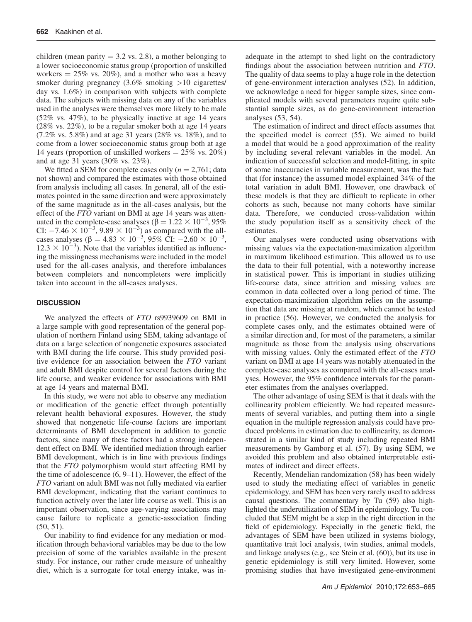children (mean parity  $= 3.2$  vs. 2.8), a mother belonging to a lower socioeconomic status group (proportion of unskilled workers  $= 25\%$  vs. 20%), and a mother who was a heavy smoker during pregnancy (3.6% smoking >10 cigarettes/ day vs. 1.6%) in comparison with subjects with complete data. The subjects with missing data on any of the variables used in the analyses were themselves more likely to be male (52% vs. 47%), to be physically inactive at age 14 years (28% vs. 22%), to be a regular smoker both at age 14 years (7.2% vs. 5.8%) and at age 31 years (28% vs. 18%), and to come from a lower socioeconomic status group both at age 14 years (proportion of unskilled workers  $= 25\%$  vs. 20%) and at age 31 years (30% vs. 23%).

We fitted a SEM for complete cases only  $(n = 2,761)$ ; data not shown) and compared the estimates with those obtained from analysis including all cases. In general, all of the estimates pointed in the same direction and were approximately of the same magnitude as in the all-cases analysis, but the effect of the *FTO* variant on BMI at age 14 years was attenuated in the complete-case analyses ( $\tilde{\beta} = 1.22 \times 10^{-3}$ , 95% CI:  $-7.46 \times 10^{-3}$ ,  $9.89 \times 10^{-3}$ ) as compared with the allcases analyses ( $\beta = 4.83 \times 10^{-3}$ , 95% CI:  $-2.60 \times 10^{-3}$ ,  $12.3 \times 10^{-3}$ ). Note that the variables identified as influencing the missingness mechanisms were included in the model used for the all-cases analysis, and therefore imbalances between completers and noncompleters were implicitly taken into account in the all-cases analyses.

#### **DISCUSSION**

We analyzed the effects of FTO rs9939609 on BMI in a large sample with good representation of the general population of northern Finland using SEM, taking advantage of data on a large selection of nongenetic exposures associated with BMI during the life course. This study provided positive evidence for an association between the FTO variant and adult BMI despite control for several factors during the life course, and weaker evidence for associations with BMI at age 14 years and maternal BMI.

In this study, we were not able to observe any mediation or modification of the genetic effect through potentially relevant health behavioral exposures. However, the study showed that nongenetic life-course factors are important determinants of BMI development in addition to genetic factors, since many of these factors had a strong independent effect on BMI. We identified mediation through earlier BMI development, which is in line with previous findings that the FTO polymorphism would start affecting BMI by the time of adolescence (6, 9–11). However, the effect of the FTO variant on adult BMI was not fully mediated via earlier BMI development, indicating that the variant continues to function actively over the later life course as well. This is an important observation, since age-varying associations may cause failure to replicate a genetic-association finding (50, 51).

Our inability to find evidence for any mediation or modification through behavioral variables may be due to the low precision of some of the variables available in the present study. For instance, our rather crude measure of unhealthy diet, which is a surrogate for total energy intake, was inadequate in the attempt to shed light on the contradictory findings about the association between nutrition and FTO. The quality of data seems to play a huge role in the detection of gene-environment interaction analyses (52). In addition, we acknowledge a need for bigger sample sizes, since complicated models with several parameters require quite substantial sample sizes, as do gene-environment interaction analyses (53, 54).

The estimation of indirect and direct effects assumes that the specified model is correct (55). We aimed to build a model that would be a good approximation of the reality by including several relevant variables in the model. An indication of successful selection and model-fitting, in spite of some inaccuracies in variable measurement, was the fact that (for instance) the assumed model explained 34% of the total variation in adult BMI. However, one drawback of these models is that they are difficult to replicate in other cohorts as such, because not many cohorts have similar data. Therefore, we conducted cross-validation within the study population itself as a sensitivity check of the estimates.

Our analyses were conducted using observations with missing values via the expectation-maximization algorithm in maximum likelihood estimation. This allowed us to use the data to their full potential, with a noteworthy increase in statistical power. This is important in studies utilizing life-course data, since attrition and missing values are common in data collected over a long period of time. The expectation-maximization algorithm relies on the assumption that data are missing at random, which cannot be tested in practice (56). However, we conducted the analysis for complete cases only, and the estimates obtained were of a similar direction and, for most of the parameters, a similar magnitude as those from the analysis using observations with missing values. Only the estimated effect of the FTO variant on BMI at age 14 years was notably attenuated in the complete-case analyses as compared with the all-cases analyses. However, the 95% confidence intervals for the parameter estimates from the analyses overlapped.

The other advantage of using SEM is that it deals with the collinearity problem efficiently. We had repeated measurements of several variables, and putting them into a single equation in the multiple regression analysis could have produced problems in estimation due to collinearity, as demonstrated in a similar kind of study including repeated BMI measurements by Gamborg et al. (57). By using SEM, we avoided this problem and also obtained interpretable estimates of indirect and direct effects.

Recently, Mendelian randomization (58) has been widely used to study the mediating effect of variables in genetic epidemiology, and SEM has been very rarely used to address causal questions. The commentary by Tu (59) also highlighted the underutilization of SEM in epidemiology. Tu concluded that SEM might be a step in the right direction in the field of epidemiology. Especially in the genetic field, the advantages of SEM have been utilized in systems biology, quantitative trait loci analysis, twin studies, animal models, and linkage analyses (e.g., see Stein et al. (60)), but its use in genetic epidemiology is still very limited. However, some promising studies that have investigated gene-environment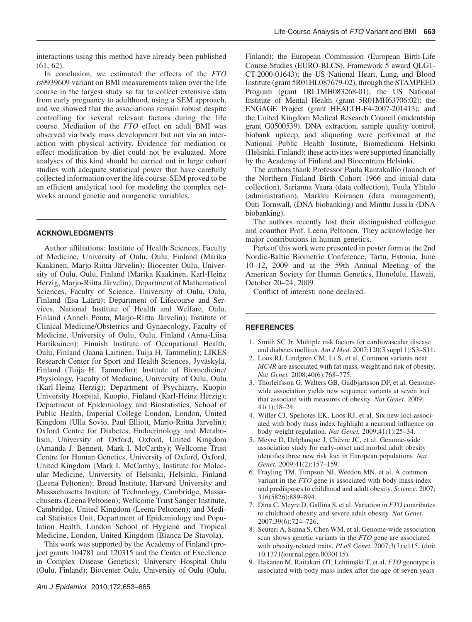Finland); the European Commission (European Birth-Life Course Studies (EURO-BLCS), Framework 5 award QLG1- CT-2000-01643); the US National Heart, Lung, and Blood

interactions using this method have already been published (61, 62).

In conclusion, we estimated the effects of the FTO rs9939609 variant on BMI measurements taken over the life course in the largest study so far to collect extensive data from early pregnancy to adulthood, using a SEM approach, and we showed that the associations remain robust despite controlling for several relevant factors during the life course. Mediation of the FTO effect on adult BMI was observed via body mass development but not via an interaction with physical activity. Evidence for mediation or effect modification by diet could not be evaluated. More analyses of this kind should be carried out in large cohort studies with adequate statistical power that have carefully collected information over the life course. SEM proved to be an efficient analytical tool for modeling the complex networks around genetic and nongenetic variables.

## ACKNOWLEDGMENTS

Author affiliations: Institute of Health Sciences, Faculty of Medicine, University of Oulu, Oulu, Finland (Marika Kaakinen, Marjo-Riitta Järvelin); Biocenter Oulu, University of Oulu, Oulu, Finland (Marika Kaakinen, Karl-Heinz Herzig, Marjo-Riitta Järvelin); Department of Mathematical Sciences, Faculty of Science, University of Oulu, Oulu, Finland (Esa Läärä); Department of Lifecourse and Services, National Institute of Health and Welfare, Oulu, Finland (Anneli Pouta, Marjo-Riitta Järvelin); Institute of Clinical Medicine/Obstetrics and Gynaecology, Faculty of Medicine, University of Oulu, Oulu, Finland (Anna-Liisa Hartikainen); Finnish Institute of Occupational Health, Oulu, Finland (Jaana Laitinen, Tuija H. Tammelin); LIKES Research Center for Sport and Health Sciences, Jyväskylä, Finland (Tuija H. Tammelin); Institute of Biomedicine/ Physiology, Faculty of Medicine, University of Oulu, Oulu (Karl-Heinz Herzig); Department of Psychiatry, Kuopio University Hospital, Kuopio, Finland (Karl-Heinz Herzig); Department of Epidemiology and Biostatistics, School of Public Health, Imperial College London, London, United Kingdom (Ulla Sovio, Paul Elliott, Marjo-Riitta Järvelin); Oxford Centre for Diabetes, Endocrinology and Metabolism, University of Oxford, Oxford, United Kingdom (Amanda J. Bennett, Mark I. McCarthy); Wellcome Trust Centre for Human Genetics, University of Oxford, Oxford, United Kingdom (Mark I. McCarthy); Institute for Molecular Medicine, University of Helsinki, Helsinki, Finland (Leena Peltonen); Broad Institute, Harvard University and Massachusetts Institute of Technology, Cambridge, Massachusetts (Leena Peltonen); Wellcome Trust Sanger Institute, Cambridge, United Kingdom (Leena Peltonen); and Medical Statistics Unit, Department of Epidemiology and Population Health, London School of Hygiene and Tropical Medicine, London, United Kingdom (Bianca De Stavola).

This work was supported by the Academy of Finland (project grants 104781 and 120315 and the Center of Excellence in Complex Disease Genetics); University Hospital Oulu (Oulu, Finland); Biocenter Oulu, University of Oulu (Oulu,

Institute (grant 5R01HL087679-02), through the STAMPEED Program (grant 1RL1MH083268-01); the US National Institute of Mental Health (grant 5R01MH63706:02); the ENGAGE Project (grant HEALTH-F4-2007-201413); and the United Kingdom Medical Research Council (studentship grant G0500539). DNA extraction, sample quality control, biobank upkeep, and aliquoting were performed at the National Public Health Institute, Biomedicum Helsinki (Helsinki, Finland); these activities were supported financially by the Academy of Finland and Biocentrum Helsinki. The authors thank Professor Paula Rantakallio (launch of the Northern Finland Birth Cohort 1966 and initial data collection), Sarianna Vaara (data collection), Tuula Ylitalo (administration), Markku Koiranen (data management), Outi Tornwall, (DNA biobanking) and Minttu Jussila (DNA

> biobanking). The authors recently lost their distinguished colleague and coauthor Prof. Leena Peltonen. They acknowledge her major contributions in human genetics.

> Parts of this work were presented in poster form at the 2nd Nordic-Baltic Biometric Conference, Tartu, Estonia, June 10–12, 2009 and at the 59th Annual Meeting of the American Society for Human Genetics, Honolulu, Hawaii, October 20–24, 2009.

Conflict of interest: none declared.

## REFERENCES

- 1. Smith SC Jr. Multiple risk factors for cardiovascular disease and diabetes mellitus. Am J Med. 2007;120(3 suppl 1):S3-S11.
- 2. Loos RJ, Lindgren CM, Li S, et al. Common variants near MC4R are associated with fat mass, weight and risk of obesity. Nat Genet. 2008;40(6):768–775.
- 3. Thorleifsson G, Walters GB, Gudbjartsson DF, et al. Genomewide association yields new sequence variants at seven loci that associate with measures of obesity. Nat Genet. 2009; 41(1):18–24.
- 4. Willer CJ, Speliotes EK, Loos RJ, et al. Six new loci associated with body mass index highlight a neuronal influence on body weight regulation. Nat Genet. 2009;41(1):25–34.
- 5. Meyre D, Delplanque J, Chèvre JC, et al. Genome-wide association study for early-onset and morbid adult obesity identifies three new risk loci in European populations. Nat Genet. 2009;41(2):157–159.
- 6. Frayling TM, Timpson NJ, Weedon MN, et al. A common variant in the FTO gene is associated with body mass index and predisposes to childhood and adult obesity. Science. 2007; 316(5826):889–894.
- 7. Dina C, Meyre D, Gallina S, et al. Variation in FTO contributes to childhood obesity and severe adult obesity. Nat Genet. 2007;39(6):724–726.
- 8. Scuteri A, Sanna S, Chen WM, et al. Genome-wide association scan shows genetic variants in the FTO gene are associated with obesity-related traits. PLoS Genet. 2007;3(7):e115. (doi: 10.1371/journal.pgen.0030115).
- 9. Hakanen M, Raitakari OT, Lehtimäki T, et al. FTO genotype is associated with body mass index after the age of seven years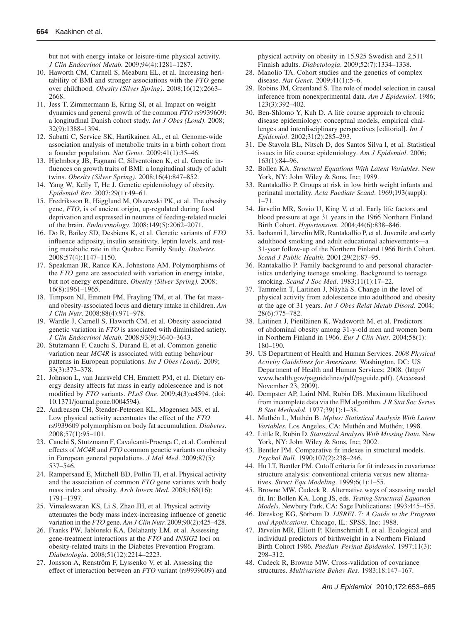but not with energy intake or leisure-time physical activity. J Clin Endocrinol Metab. 2009;94(4):1281–1287.

- 10. Haworth CM, Carnell S, Meaburn EL, et al. Increasing heritability of BMI and stronger associations with the FTO gene over childhood. Obesity (Silver Spring). 2008;16(12):2663– 2668.
- 11. Jess T, Zimmermann E, Kring SI, et al. Impact on weight dynamics and general growth of the common FTO rs9939609: a longitudinal Danish cohort study. Int J Obes (Lond). 2008; 32(9):1388–1394.
- 12. Sabatti C, Service SK, Hartikainen AL, et al. Genome-wide association analysis of metabolic traits in a birth cohort from a founder population. Nat Genet. 2009;41(1):35–46.
- 13. Hjelmborg JB, Fagnani C, Silventoinen K, et al. Genetic influences on growth traits of BMI: a longitudinal study of adult twins. Obesity (Silver Spring). 2008;16(4):847–852.
- 14. Yang W, Kelly T, He J. Genetic epidemiology of obesity. Epidemiol Rev. 2007;29(1):49–61.
- 15. Fredriksson R, Hägglund M, Olszewski PK, et al. The obesity gene, FTO, is of ancient origin, up-regulated during food deprivation and expressed in neurons of feeding-related nuclei of the brain. Endocrinology. 2008;149(5):2062–2071.
- 16. Do R, Bailey SD, Desbiens K, et al. Genetic variants of FTO influence adiposity, insulin sensitivity, leptin levels, and resting metabolic rate in the Quebec Family Study. Diabetes. 2008;57(4):1147–1150.
- 17. Speakman JR, Rance KA, Johnstone AM. Polymorphisms of the FTO gene are associated with variation in energy intake, but not energy expenditure. Obesity (Silver Spring). 2008; 16(8):1961–1965.
- 18. Timpson NJ, Emmett PM, Frayling TM, et al. The fat massand obesity-associated locus and dietary intake in children. Am J Clin Nutr. 2008;88(4):971–978.
- 19. Wardle J, Carnell S, Haworth CM, et al. Obesity associated genetic variation in FTO is associated with diminished satiety. J Clin Endocrinol Metab. 2008;93(9):3640–3643.
- 20. Stutzmann F, Cauchi S, Durand E, et al. Common genetic variation near MC4R is associated with eating behaviour patterns in European populations. *Int J Obes (Lond)*. 2009; 33(3):373–378.
- 21. Johnson L, van Jaarsveld CH, Emmett PM, et al. Dietary energy density affects fat mass in early adolescence and is not modified by FTO variants. PLoS One. 2009;4(3):e4594. (doi: 10.1371/journal.pone.0004594).
- 22. Andreasen CH, Stender-Petersen KL, Mogensen MS, et al. Low physical activity accentuates the effect of the FTO rs9939609 polymorphism on body fat accumulation. Diabetes. 2008;57(1):95–101.
- 23. Cauchi S, Stutzmann F, Cavalcanti-Proença C, et al. Combined effects of MC4R and FTO common genetic variants on obesity in European general populations. J Mol Med. 2009;87(5): 537–546.
- 24. Rampersaud E, Mitchell BD, Pollin TI, et al. Physical activity and the association of common FTO gene variants with body mass index and obesity. Arch Intern Med. 2008;168(16): 1791–1797.
- 25. Vimaleswaran KS, Li S, Zhao JH, et al. Physical activity attenuates the body mass index-increasing influence of genetic variation in the FTO gene. Am J Clin Nutr. 2009;90(2):425-428.
- 26. Franks PW, Jablonski KA, Delahanty LM, et al. Assessing gene-treatment interactions at the FTO and INSIG2 loci on obesity-related traits in the Diabetes Prevention Program. Diabetologia. 2008;51(12):2214–2223.
- 27. Jonsson A, Renström F, Lyssenko V, et al. Assessing the effect of interaction between an FTO variant (rs9939609) and

physical activity on obesity in 15,925 Swedish and 2,511 Finnish adults. Diabetologia. 2009;52(7):1334–1338.

- 28. Manolio TA. Cohort studies and the genetics of complex disease. Nat Genet. 2009;41(1):5–6.
- 29. Robins JM, Greenland S. The role of model selection in causal inference from nonexperimental data. Am J Epidemiol. 1986; 123(3):392–402.
- 30. Ben-Shlomo Y, Kuh D. A life course approach to chronic disease epidemiology: conceptual models, empirical challenges and interdisciplinary perspectives [editorial]. Int J Epidemiol. 2002;31(2):285–293.
- 31. De Stavola BL, Nitsch D, dos Santos Silva I, et al. Statistical issues in life course epidemiology. Am J Epidemiol. 2006; 163(1):84–96.
- 32. Bollen KA. Structural Equations With Latent Variables. New York, NY: John Wiley & Sons, Inc; 1989.
- 33. Rantakallio P. Groups at risk in low birth weight infants and perinatal mortality. Acta Paediatr Scand. 1969;193(suppl): 1–71.
- 34. Järvelin MR, Sovio U, King V, et al. Early life factors and blood pressure at age 31 years in the 1966 Northern Finland Birth Cohort. Hypertension. 2004;44(6):838–846.
- 35. Isohanni I, Järvelin MR, Rantakallio P, et al. Juvenile and early adulthood smoking and adult educational achievements—a 31-year follow-up of the Northern Finland 1966 Birth Cohort. Scand J Public Health. 2001;29(2):87–95.
- 36. Rantakallio P. Family background to and personal characteristics underlying teenage smoking. Background to teenage smoking. Scand J Soc Med. 1983;11(1):17-22.
- 37. Tammelin T, Laitinen J, Näyhä S. Change in the level of physical activity from adolescence into adulthood and obesity at the age of 31 years. Int J Obes Relat Metab Disord. 2004; 28(6):775–782.
- 38. Laitinen J, Pietiläinen K, Wadsworth M, et al. Predictors of abdominal obesity among 31-y-old men and women born in Northern Finland in 1966. Eur J Clin Nutr. 2004;58(1): 180–190.
- 39. US Department of Health and Human Services. 2008 Physical Activity Guidelines for Americans. Washington, DC: US Department of Health and Human Services; 2008. ([http://](http://www.health.gov/paguidelines/pdf/paguide.pdf) [www.health.gov/paguidelines/pdf/paguide.pdf\)](http://www.health.gov/paguidelines/pdf/paguide.pdf). (Accessed November 23, 2009).
- 40. Dempster AP, Laird NM, Rubin DB. Maximum likelihood from incomplete data via the EM algorithm. J R Stat Soc Series B Stat Methodol. 1977;39(1):1–38.
- 41. Muthén L, Muthén B. Mplus: Statistical Analysis With Latent Variables. Los Angeles, CA: Muthén and Muthén; 1998.
- 42. Little R, Rubin D. Statistical Analysis With Missing Data. New York, NY: John Wiley & Sons, Inc; 2002.
- 43. Bentler PM. Comparative fit indexes in structural models. Psychol Bull. 1990;107(2):238–246.
- 44. Hu LT, Bentler PM. Cutoff criteria for fit indexes in covariance structure analysis: conventional criteria versus new alternatives. Struct Equ Modeling. 1999;6(1):1-55.
- 45. Browne MW, Cudeck R. Alternative ways of assessing model fit. In: Bollen KA, Long JS, eds. Testing Structural Equation Models. Newbury Park, CA: Sage Publications; 1993:445–455.
- 46. Jöreskog KG, Sörbom D. LISREL 7: A Guide to the Program and Applications. Chicago, IL: SPSS, Inc; 1988.
- 47. Järvelin MR, Elliott P, Kleinschmidt I, et al. Ecological and individual predictors of birthweight in a Northern Finland Birth Cohort 1986. Paediatr Perinat Epidemiol. 1997;11(3): 298–312.
- 48. Cudeck R, Browne MW. Cross-validation of covariance structures. Multivariate Behav Res. 1983;18:147–167.